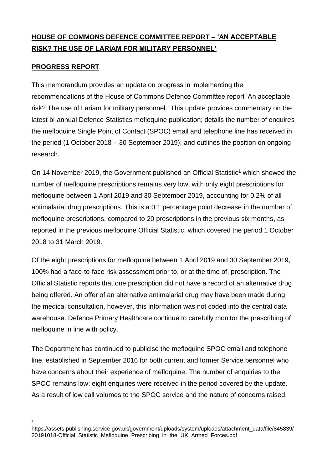## **HOUSE OF COMMONS DEFENCE COMMITTEE REPORT – 'AN ACCEPTABLE RISK? THE USE OF LARIAM FOR MILITARY PERSONNEL'**

## **PROGRESS REPORT**

1

This memorandum provides an update on progress in implementing the recommendations of the House of Commons Defence Committee report 'An acceptable risk? The use of Lariam for military personnel.' This update provides commentary on the latest bi-annual Defence Statistics mefloquine publication; details the number of enquires the mefloquine Single Point of Contact (SPOC) email and telephone line has received in the period (1 October 2018 – 30 September 2019); and outlines the position on ongoing research.

On 14 November 2019, the Government published an Official Statistic<sup>1</sup> which showed the number of mefloquine prescriptions remains very low, with only eight prescriptions for mefloquine between 1 April 2019 and 30 September 2019, accounting for 0.2% of all antimalarial drug prescriptions. This is a 0.1 percentage point decrease in the number of mefloquine prescriptions, compared to 20 prescriptions in the previous six months, as reported in the previous mefloquine Official Statistic, which covered the period 1 October 2018 to 31 March 2019.

Of the eight prescriptions for mefloquine between 1 April 2019 and 30 September 2019, 100% had a face-to-face risk assessment prior to, or at the time of, prescription. The Official Statistic reports that one prescription did not have a record of an alternative drug being offered. An offer of an alternative antimalarial drug may have been made during the medical consultation, however, this information was not coded into the central data warehouse. Defence Primary Healthcare continue to carefully monitor the prescribing of mefloquine in line with policy.

The Department has continued to publicise the mefloquine SPOC email and telephone line, established in September 2016 for both current and former Service personnel who have concerns about their experience of mefloquine. The number of enquiries to the SPOC remains low: eight enquiries were received in the period covered by the update. As a result of low call volumes to the SPOC service and the nature of concerns raised,

https://assets.publishing.service.gov.uk/government/uploads/system/uploads/attachment\_data/file/845839/ 20191018-Official\_Statistic\_Mefloquine\_Prescribing\_in\_the\_UK\_Armed\_Forces.pdf